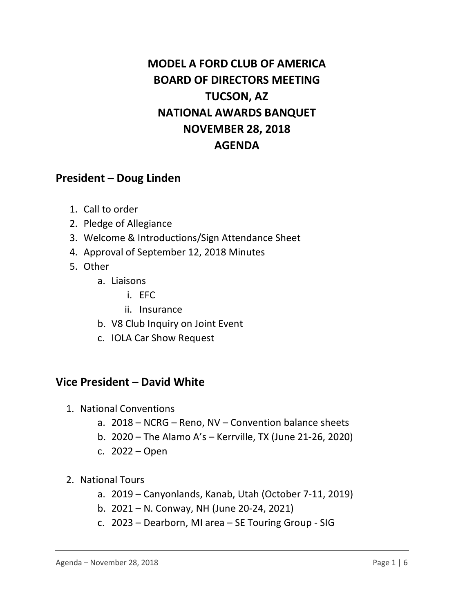# **MODEL A FORD CLUB OF AMERICA BOARD OF DIRECTORS MEETING TUCSON, AZ NATIONAL AWARDS BANQUET NOVEMBER 28, 2018 AGENDA**

## **President – Doug Linden**

- 1. Call to order
- 2. Pledge of Allegiance
- 3. Welcome & Introductions/Sign Attendance Sheet
- 4. Approval of September 12, 2018 Minutes
- 5. Other
	- a. Liaisons
		- i. EFC
		- ii. Insurance
	- b. V8 Club Inquiry on Joint Event
	- c. IOLA Car Show Request

#### **Vice President – David White**

- 1. National Conventions
	- a. 2018 NCRG Reno, NV Convention balance sheets
	- b. 2020 The Alamo A's Kerrville, TX (June 21-26, 2020)
	- c. 2022 Open
- 2. National Tours
	- a. 2019 Canyonlands, Kanab, Utah (October 7-11, 2019)
	- b. 2021 N. Conway, NH (June 20-24, 2021)
	- c. 2023 Dearborn, MI area SE Touring Group SIG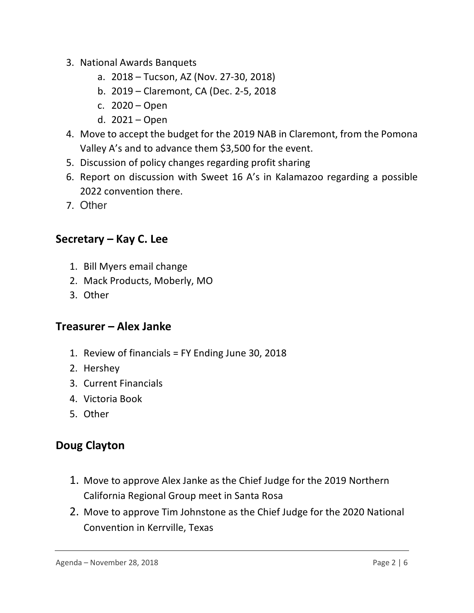- 3. National Awards Banquets
	- a. 2018 Tucson, AZ (Nov. 27-30, 2018)
	- b. 2019 Claremont, CA (Dec. 2-5, 2018
	- c. 2020 Open
	- d. 2021 Open
- 4. Move to accept the budget for the 2019 NAB in Claremont, from the Pomona Valley A's and to advance them \$3,500 for the event.
- 5. Discussion of policy changes regarding profit sharing
- 6. Report on discussion with Sweet 16 A's in Kalamazoo regarding a possible 2022 convention there.
- 7. Other

## **Secretary – Kay C. Lee**

- 1. Bill Myers email change
- 2. Mack Products, Moberly, MO
- 3. Other

## **Treasurer – Alex Janke**

- 1. Review of financials = FY Ending June 30, 2018
- 2. Hershey
- 3. Current Financials
- 4. Victoria Book
- 5. Other

## **Doug Clayton**

- 1. Move to approve Alex Janke as the Chief Judge for the 2019 Northern California Regional Group meet in Santa Rosa
- 2. Move to approve Tim Johnstone as the Chief Judge for the 2020 National Convention in Kerrville, Texas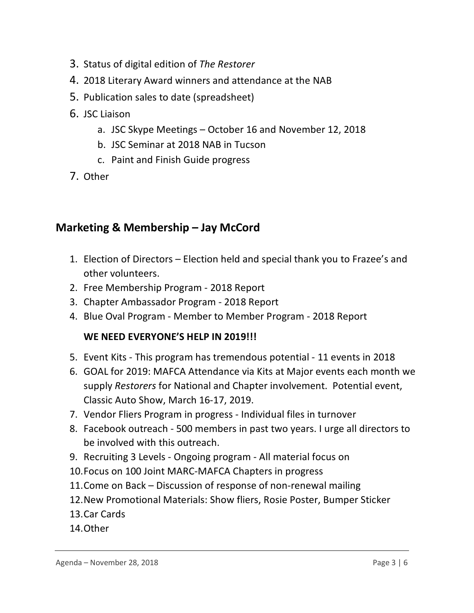- 3. Status of digital edition of *The Restorer*
- 4. 2018 Literary Award winners and attendance at the NAB
- 5. Publication sales to date (spreadsheet)
- 6. JSC Liaison
	- a. JSC Skype Meetings October 16 and November 12, 2018
	- b. JSC Seminar at 2018 NAB in Tucson
	- c. Paint and Finish Guide progress
- 7. Other

## **Marketing & Membership – Jay McCord**

- 1. Election of Directors Election held and special thank you to Frazee's and other volunteers.
- 2. Free Membership Program 2018 Report
- 3. Chapter Ambassador Program 2018 Report
- 4. Blue Oval Program Member to Member Program 2018 Report

#### **WE NEED EVERYONE'S HELP IN 2019!!!**

- 5. Event Kits This program has tremendous potential 11 events in 2018
- 6. GOAL for 2019: MAFCA Attendance via Kits at Major events each month we supply *Restorers* for National and Chapter involvement. Potential event, Classic Auto Show, March 16-17, 2019.
- 7. Vendor Fliers Program in progress Individual files in turnover
- 8. Facebook outreach 500 members in past two years. I urge all directors to be involved with this outreach.
- 9. Recruiting 3 Levels Ongoing program All material focus on
- 10.Focus on 100 Joint MARC-MAFCA Chapters in progress
- 11.Come on Back Discussion of response of non-renewal mailing
- 12.New Promotional Materials: Show fliers, Rosie Poster, Bumper Sticker
- 13.Car Cards
- 14.Other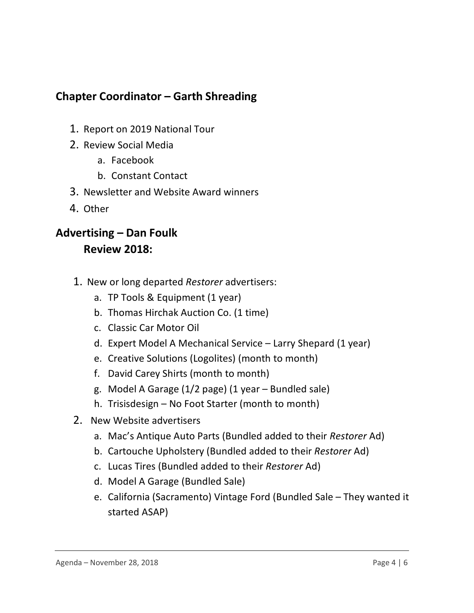## **Chapter Coordinator – Garth Shreading**

- 1. Report on 2019 National Tour
- 2. Review Social Media
	- a. Facebook
	- b. Constant Contact
- 3. Newsletter and Website Award winners
- 4. Other

## **Advertising – Dan Foulk Review 2018:**

- 1. New or long departed *Restorer* advertisers:
	- a. TP Tools & Equipment (1 year)
	- b. Thomas Hirchak Auction Co. (1 time)
	- c. Classic Car Motor Oil
	- d. Expert Model A Mechanical Service Larry Shepard (1 year)
	- e. Creative Solutions (Logolites) (month to month)
	- f. David Carey Shirts (month to month)
	- g. Model A Garage (1/2 page) (1 year Bundled sale)
	- h. Trisisdesign No Foot Starter (month to month)
- 2. New Website advertisers
	- a. Mac's Antique Auto Parts (Bundled added to their *Restorer* Ad)
	- b. Cartouche Upholstery (Bundled added to their *Restorer* Ad)
	- c. Lucas Tires (Bundled added to their *Restorer* Ad)
	- d. Model A Garage (Bundled Sale)
	- e. California (Sacramento) Vintage Ford (Bundled Sale They wanted it started ASAP)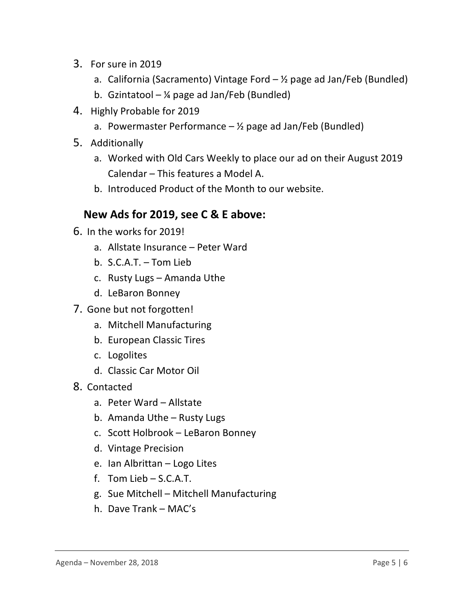- 3. For sure in 2019
	- a. California (Sacramento) Vintage Ford  $-$  1/2 page ad Jan/Feb (Bundled)
	- b. Gzintatool  $\frac{1}{4}$  page ad Jan/Feb (Bundled)
- 4. Highly Probable for 2019
	- a. Powermaster Performance  $-$  1/2 page ad Jan/Feb (Bundled)
- 5. Additionally
	- a. Worked with Old Cars Weekly to place our ad on their August 2019 Calendar – This features a Model A.
	- b. Introduced Product of the Month to our website.

### **New Ads for 2019, see C & E above:**

- 6. In the works for 2019!
	- a. Allstate Insurance Peter Ward
	- b. S.C.A.T. Tom Lieb
	- c. Rusty Lugs Amanda Uthe
	- d. LeBaron Bonney
- 7. Gone but not forgotten!
	- a. Mitchell Manufacturing
	- b. European Classic Tires
	- c. Logolites
	- d. Classic Car Motor Oil
- 8. Contacted
	- a. Peter Ward Allstate
	- b. Amanda Uthe Rusty Lugs
	- c. Scott Holbrook LeBaron Bonney
	- d. Vintage Precision
	- e. Ian Albrittan Logo Lites
	- f. Tom Lieb S.C.A.T.
	- g. Sue Mitchell Mitchell Manufacturing
	- h. Dave Trank MAC's